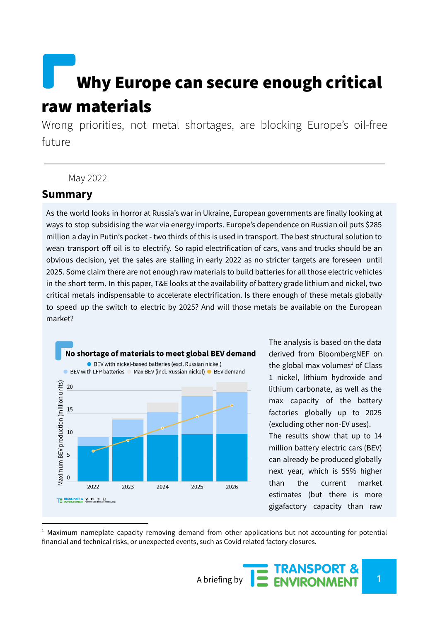# Why Europe can secure enough critical raw materials

Wrong priorities, not metal shortages, are blocking Europe's oil-free future

#### May 2022

### **Summary**

As the world looks in horror at Russia's war in Ukraine, European governments are finally looking at ways to stop subsidising the war via energy imports. Europe's dependence on Russian oil puts \$285 million a day in Putin's pocket - two thirds of this is used in transport. The best structural solution to wean transport off oil is to electrify. So rapid electrification of cars, vans and trucks should be an obvious decision, yet the sales are stalling in early 2022 as no stricter targets are foreseen until 2025. Some claim there are not enough raw materials to build batteries for all those electric vehicles in the short term. In this paper, T&E looks at the availability of battery grade lithium and nickel, two critical metals indispensable to accelerate electrification. Is there enough of these metals globally to speed up the switch to electric by 2025? And will those metals be available on the European market?



The analysis is based on the data derived from BloombergNEF on the global max volumes<sup>1</sup> of Class 1 nickel, lithium hydroxide and lithium carbonate, as well as the max capacity of the battery factories globally up to 2025 (excluding other non-EV uses). The results show that up to 14 million battery electric cars (BEV) can already be produced globally next year, which is 55% higher than the current market estimates (but there is more gigafactory capacity than raw

 $<sup>1</sup>$  Maximum nameplate capacity removing demand from other applications but not accounting for potential</sup> financial and technical risks, or unexpected events, such as Covid related factory closures.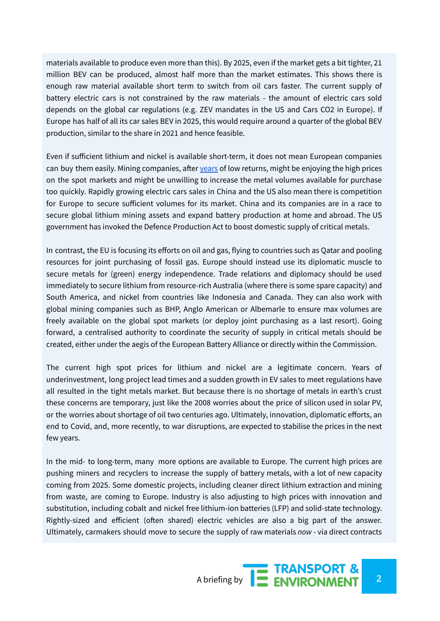materials available to produce even more than this). By 2025, even if the market gets a bit tighter, 21 million BEV can be produced, almost half more than the market estimates. This shows there is enough raw material available short term to switch from oil cars faster. The current supply of battery electric cars is not constrained by the raw materials - the amount of electric cars sold depends on the global car regulations (e.g. ZEV mandates in the US and Cars CO2 in Europe). If Europe has half of all its car sales BEV in 2025, this would require around a quarter of the global BEV production, similar to the share in 2021 and hence feasible.

Even if sufficient lithium and nickel is available short-term, it does not mean European companies can buy them easily. Mining companies, after [years](https://www.reuters.com/article/us-mining-value-idUSKCN1G01PT) of low returns, might be enjoying the high prices on the spot markets and might be unwilling to increase the metal volumes available for purchase too quickly. Rapidly growing electric cars sales in China and the US also mean there is competition for Europe to secure sufficient volumes for its market. China and its companies are in a race to secure global lithium mining assets and expand battery production at home and abroad. The US government has invoked the Defence Production Act to boost domestic supply of critical metals.

In contrast, the EU is focusing its efforts on oil and gas, flying to countries such as Qatar and pooling resources for joint purchasing of fossil gas. Europe should instead use its diplomatic muscle to secure metals for (green) energy independence. Trade relations and diplomacy should be used immediately to secure lithium from resource-rich Australia (where there is some spare capacity) and South America, and nickel from countries like Indonesia and Canada. They can also work with global mining companies such as BHP, Anglo American or Albemarle to ensure max volumes are freely available on the global spot markets (or deploy joint purchasing as a last resort). Going forward, a centralised authority to coordinate the security of supply in critical metals should be created, either under the aegis of the European Battery Alliance or directly within the Commission.

The current high spot prices for lithium and nickel are a legitimate concern. Years of underinvestment, long project lead times and a sudden growth in EV sales to meet regulations have all resulted in the tight metals market. But because there is no shortage of metals in earth's crust these concerns are temporary, just like the 2008 worries about the price of silicon used in solar PV, or the worries about shortage of oil two centuries ago. Ultimately, innovation, diplomatic efforts, an end to Covid, and, more recently, to war disruptions, are expected to stabilise the prices in the next few years.

In the mid- to long-term, many more options are available to Europe. The current high prices are pushing miners and recyclers to increase the supply of battery metals, with a lot of new capacity coming from 2025. Some domestic projects, including cleaner direct lithium extraction and mining from waste, are coming to Europe. Industry is also adjusting to high prices with innovation and substitution, including cobalt and nickel free lithium-ion batteries (LFP) and solid-state technology. Rightly-sized and efficient (often shared) electric vehicles are also a big part of the answer. Ultimately, carmakers should move to secure the supply of raw materials *now* - via direct contracts

A briefing by **2 2 ENVIRONMENT**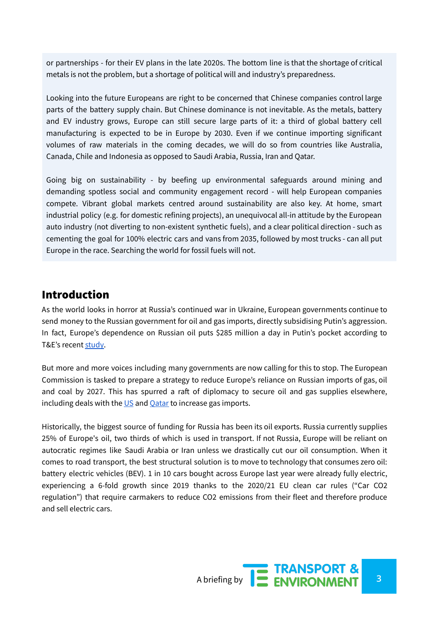or partnerships - for their EV plans in the late 2020s. The bottom line is that the shortage of critical metals is not the problem, but a shortage of political will and industry's preparedness.

Looking into the future Europeans are right to be concerned that Chinese companies control large parts of the battery supply chain. But Chinese dominance is not inevitable. As the metals, battery and EV industry grows, Europe can still secure large parts of it: a third of global battery cell manufacturing is expected to be in Europe by 2030. Even if we continue importing significant volumes of raw materials in the coming decades, we will do so from countries like Australia, Canada, Chile and Indonesia as opposed to Saudi Arabia, Russia, Iran and Qatar.

Going big on sustainability - by beefing up environmental safeguards around mining and demanding spotless social and community engagement record - will help European companies compete. Vibrant global markets centred around sustainability are also key. At home, smart industrial policy (e.g. for domestic refining projects), an unequivocal all-in attitude by the European auto industry (not diverting to non-existent synthetic fuels), and a clear political direction - such as cementing the goal for 100% electric cars and vans from 2035, followed by most trucks - can all put Europe in the race. Searching the world for fossil fuels will not.

## Introduction

As the world looks in horror at Russia's continued war in Ukraine, European governments continue to send money to the Russian government for oil and gas imports, directly subsidising Putin's aggression. In fact, Europe's dependence on Russian oil puts \$285 million a day in Putin's pocket according to T&E's recent [study.](https://www.transportenvironment.org/discover/how-russian-oil-flows-to-europe/)

But more and more voices including many governments are now calling for this to stop. The European Commission is tasked to prepare a strategy to reduce Europe's reliance on Russian imports of gas, oil and coal by 2027. This has spurred a raft of diplomacy to secure oil and gas supplies elsewhere, including deals with the  $US$  and  $Qatar$  to increase gas imports.

Historically, the biggest source of funding for Russia has been its oil exports. Russia currently supplies 25% of Europe's oil, two thirds of which is used in transport. If not Russia, Europe will be reliant on autocratic regimes like Saudi Arabia or Iran unless we drastically cut our oil consumption. When it comes to road transport, the best structural solution is to move to technology that consumes zero oil: battery electric vehicles (BEV). 1 in 10 cars bought across Europe last year were already fully electric, experiencing a 6-fold growth since 2019 thanks to the 2020/21 EU clean car rules ("Car CO2 regulation") that require carmakers to reduce CO2 emissions from their fleet and therefore produce and sell electric cars.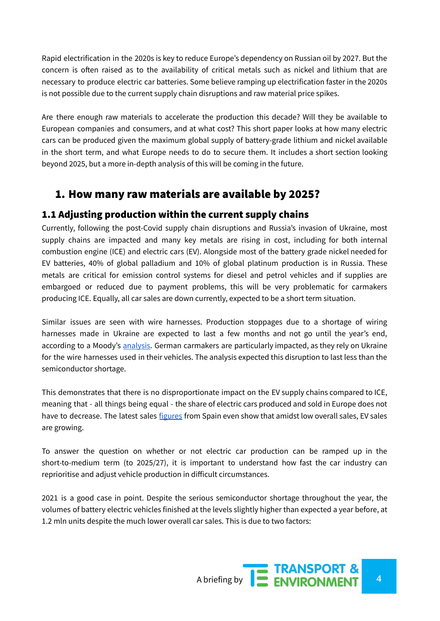Rapid electrification in the 2020s is key to reduce Europe's dependency on Russian oil by 2027. But the concern is often raised as to the availability of critical metals such as nickel and lithium that are necessary to produce electric car batteries. Some believe ramping up electrification faster in the 2020s is not possible due to the current supply chain disruptions and raw material price spikes.

Are there enough raw materials to accelerate the production this decade? Will they be available to European companies and consumers, and at what cost? This short paper looks at how many electric cars can be produced given the maximum global supply of battery-grade lithium and nickel available in the short term, and what Europe needs to do to secure them. It includes a short section looking beyond 2025, but a more in-depth analysis of this will be coming in the future.

# 1. How many raw materials are available by 2025?

## 1.1 Adjusting production within the current supply chains

Currently, following the post-Covid supply chain disruptions and Russia's invasion of Ukraine, most supply chains are impacted and many key metals are rising in cost, including for both internal combustion engine (ICE) and electric cars (EV). Alongside most of the battery grade nickel needed for EV batteries, 40% of global palladium and 10% of global platinum production is in Russia. These metals are critical for emission control systems for diesel and petrol vehicles and if supplies are embargoed or reduced due to payment problems, this will be very problematic for carmakers producing ICE. Equally, all car sales are down currently, expected to be a short term situation.

Similar issues are seen with wire harnesses. Production stoppages due to a shortage of wiring harnesses made in Ukraine are expected to last a few months and not go until the year's end, according to a Moody's [analysis.](https://www.politico.eu/wp-content/uploads/2022/03/04/Moodys-Sector-Comment-Automotive-Manufacturing-Europe-04Mar2223.pdf?utm_source=POLITICO.EU&utm_campaign=5f54f735cf-EMAIL_CAMPAIGN_2022_03_07_06_00&utm_medium=email&utm_term=0_10959edeb5-5f54f735cf-189710081) German carmakers are particularly impacted, as they rely on Ukraine for the wire harnesses used in their vehicles. The analysis expected this disruption to last less than the semiconductor shortage.

This demonstrates that there is no disproportionate impact on the EV supply chains compared to ICE, meaning that - all things being equal - the share of electric cars produced and sold in Europe does not have to decrease. The latest sales [figures](https://anfac.com/actualidad/notas-de-matriculacion/las-matriculaciones-de-turismos-se-reducen-un-30-en-marzo/?utm_source=POLITICO.EU&utm_campaign=c87e3e0382-EMAIL_CAMPAIGN_2022_04_04_05_00&utm_medium=email&utm_term=0_10959edeb5-c87e3e0382-189710081) from Spain even show that amidst low overall sales, EV sales are growing.

To answer the question on whether or not electric car production can be ramped up in the short-to-medium term (to 2025/27), it is important to understand how fast the car industry can reprioritise and adjust vehicle production in difficult circumstances.

2021 is a good case in point. Despite the serious semiconductor shortage throughout the year, the volumes of battery electric vehicles finished at the levels slightly higher than expected a year before, at 1.2 mln units despite the much lower overall car sales. This is due to two factors: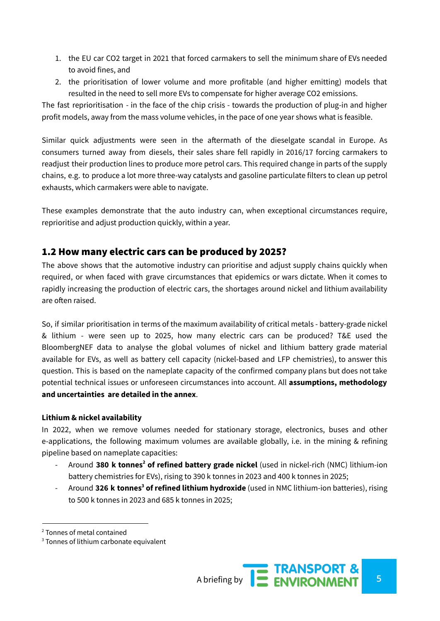- 1. the EU car CO2 target in 2021 that forced carmakers to sell the minimum share of EVs needed to avoid fines, and
- 2. the prioritisation of lower volume and more profitable (and higher emitting) models that resulted in the need to sell more EVs to compensate for higher average CO2 emissions.

The fast reprioritisation - in the face of the chip crisis - towards the production of plug-in and higher profit models, away from the mass volume vehicles, in the pace of one year shows what is feasible.

Similar quick adjustments were seen in the aftermath of the dieselgate scandal in Europe. As consumers turned away from diesels, their sales share fell rapidly in 2016/17 forcing carmakers to readjust their production lines to produce more petrol cars. This required change in parts of the supply chains, e.g. to produce a lot more three-way catalysts and gasoline particulate filters to clean up petrol exhausts, which carmakers were able to navigate.

These examples demonstrate that the auto industry can, when exceptional circumstances require, reprioritise and adjust production quickly, within a year.

## 1.2 How many electric cars can be produced by 2025?

The above shows that the automotive industry can prioritise and adjust supply chains quickly when required, or when faced with grave circumstances that epidemics or wars dictate. When it comes to rapidly increasing the production of electric cars, the shortages around nickel and lithium availability are often raised.

So, if similar prioritisation in terms of the maximum availability of critical metals - battery-grade nickel & lithium - were seen up to 2025, how many electric cars can be produced? T&E used the BloombergNEF data to analyse the global volumes of nickel and lithium battery grade material available for EVs, as well as battery cell capacity (nickel-based and LFP chemistries), to answer this question. This is based on the nameplate capacity of the confirmed company plans but does not take potential technical issues or unforeseen circumstances into account. All **assumptions, methodology and uncertainties are detailed in the annex**.

#### **Lithium & nickel availability**

In 2022, when we remove volumes needed for stationary storage, electronics, buses and other e-applications, the following maximum volumes are available globally, i.e. in the mining & refining pipeline based on nameplate capacities:

- Around **380 k tonnes <sup>2</sup> of refined battery grade nickel** (used in nickel-rich (NMC) lithium-ion battery chemistries for EVs), rising to 390 k tonnes in 2023 and 400 k tonnes in 2025;
- Around **326 k tonnes <sup>3</sup> of refined lithium hydroxide** (used in NMC lithium-ion batteries), rising to 500 k tonnes in 2023 and 685 k tonnes in 2025;

<sup>2</sup> Tonnes of metal contained

<sup>&</sup>lt;sup>3</sup> Tonnes of lithium carbonate equivalent

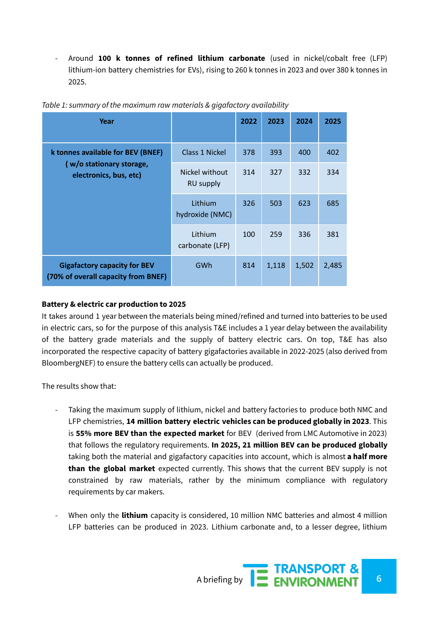- Around **100 k tonnes of refined lithium carbonate** (used in nickel/cobalt free (LFP) lithium-ion battery chemistries for EVs), rising to 260 k tonnes in 2023 and over 380 k tonnes in 2025.

| Year                                                                                    |                             | 2022 | 2023  | 2024  | 2025  |
|-----------------------------------------------------------------------------------------|-----------------------------|------|-------|-------|-------|
| k tonnes available for BEV (BNEF)<br>(w/o stationary storage,<br>electronics, bus, etc) | Class 1 Nickel              | 378  | 393   | 400   | 402   |
|                                                                                         | Nickel without<br>RU supply | 314  | 327   | 332   | 334   |
|                                                                                         | Lithium<br>hydroxide (NMC)  | 326  | 503   | 623   | 685   |
|                                                                                         | Lithium<br>carbonate (LFP)  | 100  | 259   | 336   | 381   |
| <b>Gigafactory capacity for BEV</b><br>(70% of overall capacity from BNEF)              | GWh                         | 814  | 1,118 | 1,502 | 2,485 |

*Table 1: summary of the maximum raw materials & gigafactory availability*

#### **Battery & electric car production to 2025**

It takes around 1 year between the materials being mined/refined and turned into batteries to be used in electric cars, so for the purpose of this analysis T&E includes a 1 year delay between the availability of the battery grade materials and the supply of battery electric cars. On top, T&E has also incorporated the respective capacity of battery gigafactories available in 2022-2025 (also derived from BloombergNEF) to ensure the battery cells can actually be produced.

The results show that:

- Taking the maximum supply of lithium, nickel and battery factories to produce both NMC and LFP chemistries, **14 million battery electric vehicles can be produced globally in 2023**. This is **55% more BEV than the expected market** for BEV (derived from LMC Automotive in 2023) that follows the regulatory requirements. **In 2025, 21 million BEV can be produced globally** taking both the material and gigafactory capacities into account, which is almost **a half more than the global market** expected currently. This shows that the current BEV supply is not constrained by raw materials, rather by the minimum compliance with regulatory requirements by car makers.
- When only the **lithium** capacity is considered, 10 million NMC batteries and almost 4 million LFP batteries can be produced in 2023. Lithium carbonate and, to a lesser degree, lithium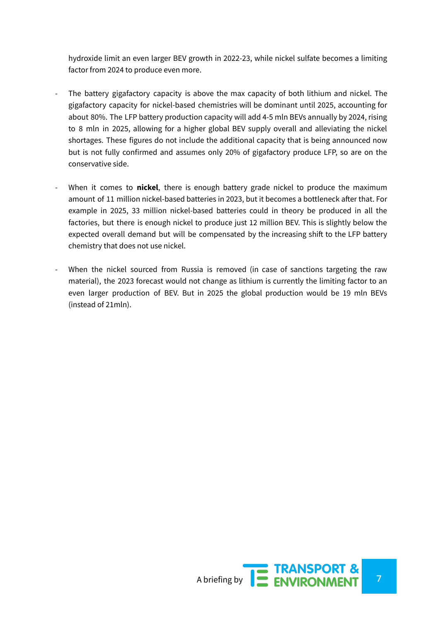hydroxide limit an even larger BEV growth in 2022-23, while nickel sulfate becomes a limiting factor from 2024 to produce even more.

- The battery gigafactory capacity is above the max capacity of both lithium and nickel. The gigafactory capacity for nickel-based chemistries will be dominant until 2025, accounting for about 80%. The LFP battery production capacity will add 4-5 mln BEVs annually by 2024, rising to 8 mln in 2025, allowing for a higher global BEV supply overall and alleviating the nickel shortages. These figures do not include the additional capacity that is being announced now but is not fully confirmed and assumes only 20% of gigafactory produce LFP, so are on the conservative side.
- When it comes to **nickel**, there is enough battery grade nickel to produce the maximum amount of 11 million nickel-based batteries in 2023, but it becomes a bottleneck after that. For example in 2025, 33 million nickel-based batteries could in theory be produced in all the factories, but there is enough nickel to produce just 12 million BEV. This is slightly below the expected overall demand but will be compensated by the increasing shift to the LFP battery chemistry that does not use nickel.
- When the nickel sourced from Russia is removed (in case of sanctions targeting the raw material), the 2023 forecast would not change as lithium is currently the limiting factor to an even larger production of BEV. But in 2025 the global production would be 19 mln BEVs (instead of 21mln).

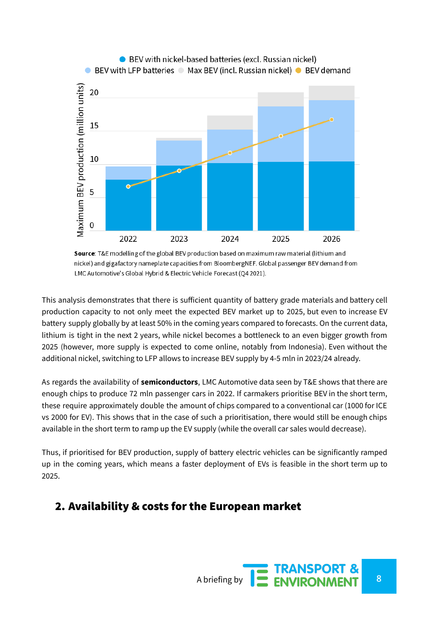

Source: T&E modelling of the global BEV production based on maximum raw material (lithium and nickel) and gigafactory nameplate capacities from BloombergNEF. Global passenger BEV demand from LMC Automotive's Global Hybrid & Electric Vehicle Forecast (Q4 2021).

This analysis demonstrates that there is sufficient quantity of battery grade materials and battery cell production capacity to not only meet the expected BEV market up to 2025, but even to increase EV battery supply globally by at least 50% in the coming years compared to forecasts. On the current data, lithium is tight in the next 2 years, while nickel becomes a bottleneck to an even bigger growth from 2025 (however, more supply is expected to come online, notably from Indonesia). Even without the additional nickel, switching to LFP allows to increase BEV supply by 4-5 mln in 2023/24 already.

As regards the availability of **semiconductors**, LMC Automotive data seen by T&E shows that there are enough chips to produce 72 mln passenger cars in 2022. If carmakers prioritise BEV in the short term, these require approximately double the amount of chips compared to a conventional car (1000 for ICE vs 2000 for EV). This shows that in the case of such a prioritisation, there would still be enough chips available in the short term to ramp up the EV supply (while the overall car sales would decrease).

Thus, if prioritised for BEV production, supply of battery electric vehicles can be significantly ramped up in the coming years, which means a faster deployment of EVs is feasible in the short term up to 2025.

# 2. Availability & costs for the European market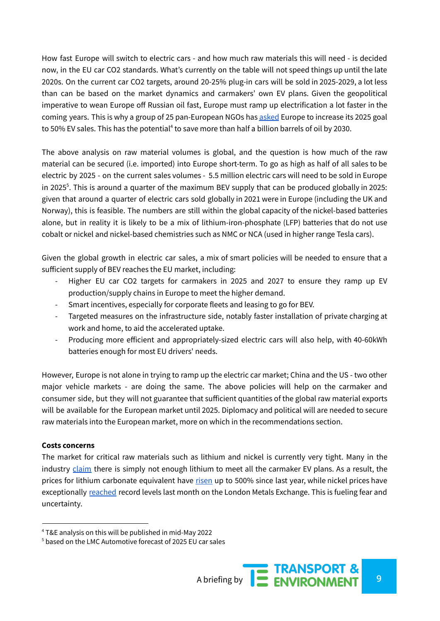How fast Europe will switch to electric cars - and how much raw materials this will need - is decided now, in the EU car CO2 standards. What's currently on the table will not speed things up until the late 2020s. On the current car CO2 targets, around 20-25% plug-in cars will be sold in 2025-2029, a lot less than can be based on the market dynamics and carmakers' own EV plans. Given the geopolitical imperative to wean Europe off Russian oil fast, Europe must ramp up electrification a lot faster in the coming years. This is why a group of 25 pan-European NGOs has [asked](https://www.transportenvironment.org/discover/end-imports-of-russian-oil-and-gas-to-stop-financing-putins-war/) Europe to increase its 2025 goal to 50% EV sales. This has the potential<sup>4</sup> to save more than half a billion barrels of oil by 2030.

The above analysis on raw material volumes is global, and the question is how much of the raw material can be secured (i.e. imported) into Europe short-term. To go as high as half of all sales to be electric by 2025 - on the current sales volumes - 5.5 million electric cars will need to be sold in Europe in 2025 5 . This is around a quarter of the maximum BEV supply that can be produced globally in 2025: given that around a quarter of electric cars sold globally in 2021 were in Europe (including the UK and Norway), this is feasible. The numbers are still within the global capacity of the nickel-based batteries alone, but in reality it is likely to be a mix of lithium-iron-phosphate (LFP) batteries that do not use cobalt or nickel and nickel-based chemistries such as NMC or NCA (used in higher range Tesla cars).

Given the global growth in electric car sales, a mix of smart policies will be needed to ensure that a sufficient supply of BEV reaches the EU market, including:

- Higher EU car CO2 targets for carmakers in 2025 and 2027 to ensure they ramp up EV production/supply chains in Europe to meet the higher demand.
- Smart incentives, especially for corporate fleets and leasing to go for BEV.
- Targeted measures on the infrastructure side, notably faster installation of private charging at work and home, to aid the accelerated uptake.
- Producing more efficient and appropriately-sized electric cars will also help, with 40-60kWh batteries enough for most EU drivers' needs.

However, Europe is not alone in trying to ramp up the electric car market; China and the US - two other major vehicle markets - are doing the same. The above policies will help on the carmaker and consumer side, but they will not guarantee that sufficient quantities of the global raw material exports will be available for the European market until 2025. Diplomacy and political will are needed to secure raw materials into the European market, more on which in the recommendations section.

#### **Costs concerns**

The market for critical raw materials such as lithium and nickel is currently very tight. Many in the industry [claim](https://www.ft.com/content/7beef24f-29a2-4683-8b30-b076528416c1) there is simply not enough lithium to meet all the carmaker EV plans. As a result, the prices for lithium carbonate equivalent have [risen](https://www.theguardian.com/australia-news/2022/feb/09/gone-ballistic-lithium-price-rockets-nearly-500-in-a-year-amid-electric-vehicle-rush#:~:text=According%20to%20figures%20from%20Benchmark,January%202021%20and%20January%202022.) up to 500% since last year, while nickel prices have exceptionally [reached](https://www.reuters.com/business/lme-suspends-nickel-trading-day-after-prices-see-record-run-2022-03-08/) record levels last month on the London Metals Exchange. This is fueling fear and uncertainty.

<sup>4</sup> T&E analysis on this will be published in mid-May 2022

<sup>5</sup> based on the LMC Automotive forecast of 2025 EU car sales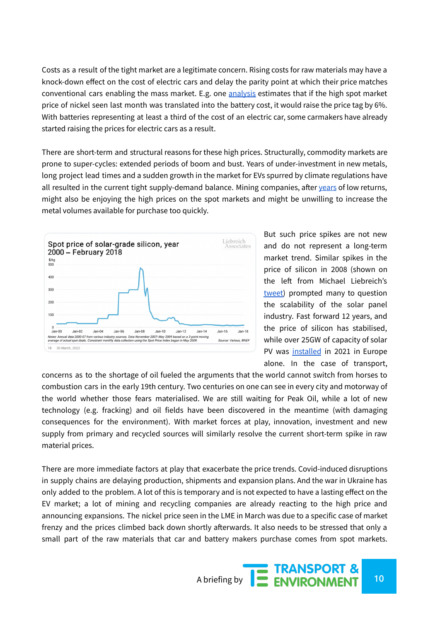Costs as a result of the tight market are a legitimate concern. Rising costs for raw materials may have a knock-down effect on the cost of electric cars and delay the parity point at which their price matches conventional cars enabling the mass market. E.g. one [analysis](https://www.ft.com/content/17d2d027-22c1-4ecc-8f92-d70268c8a4ac) estimates that if the high spot market price of nickel seen last month was translated into the battery cost, it would raise the price tag by 6%. With batteries representing at least a third of the cost of an electric car, some carmakers have already started raising the prices for electric cars as a result.

There are short-term and structural reasons for these high prices. Structurally, commodity markets are prone to super-cycles: extended periods of boom and bust. Years of under-investment in new metals, long project lead times and a sudden growth in the market for EVs spurred by climate regulations have all resulted in the current tight supply-demand balance. Mining companies, after [years](https://www.reuters.com/article/us-mining-value-idUSKCN1G01PT) of low returns, might also be enjoying the high prices on the spot markets and might be unwilling to increase the metal volumes available for purchase too quickly.



But such price spikes are not new and do not represent a long-term market trend. Similar spikes in the price of silicon in 2008 (shown on the left from Michael Liebreich's [tweet\)](https://twitter.com/MLiebreich/status/1513834191602995203) prompted many to question the scalability of the solar panel industry. Fast forward 12 years, and the price of silicon has stabilised, while over 25GW of capacity of solar PV was [installed](https://www.solarpowereurope.org/insights/market-outlooks/market-outlook) in 2021 in Europe alone. In the case of transport,

concerns as to the shortage of oil fueled the arguments that the world cannot switch from horses to combustion cars in the early 19th century. Two centuries on one can see in every city and motorway of the world whether those fears materialised. We are still waiting for Peak Oil, while a lot of new technology (e.g. fracking) and oil fields have been discovered in the meantime (with damaging consequences for the environment). With market forces at play, innovation, investment and new supply from primary and recycled sources will similarly resolve the current short-term spike in raw material prices.

There are more immediate factors at play that exacerbate the price trends. Covid-induced disruptions in supply chains are delaying production, shipments and expansion plans. And the war in Ukraine has only added to the problem. A lot of this is temporary and is not expected to have a lasting effect on the EV market; a lot of mining and recycling companies are already reacting to the high price and announcing expansions. The nickel price seen in the LME in March was due to a specific case of market frenzy and the prices climbed back down shortly afterwards. It also needs to be stressed that only a small part of the raw materials that car and battery makers purchase comes from spot markets.

A briefing by **10**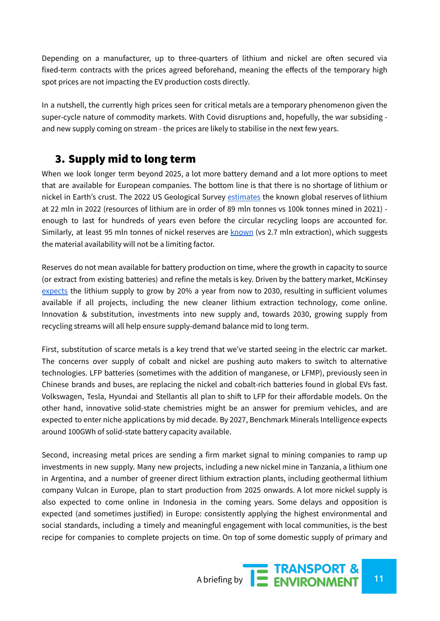Depending on a manufacturer, up to three-quarters of lithium and nickel are often secured via fixed-term contracts with the prices agreed beforehand, meaning the effects of the temporary high spot prices are not impacting the EV production costs directly.

In a nutshell, the currently high prices seen for critical metals are a temporary phenomenon given the super-cycle nature of commodity markets. With Covid disruptions and, hopefully, the war subsiding and new supply coming on stream - the prices are likely to stabilise in the next few years.

# 3. Supply mid to long term

When we look longer term beyond 2025, a lot more battery demand and a lot more options to meet that are available for European companies. The bottom line is that there is no shortage of lithium or nickel in Earth's crust. The 2022 US Geological Survey [estimates](https://pubs.usgs.gov/periodicals/mcs2022/mcs2022-lithium.pdf) the known global reserves of lithium at 22 mln in 2022 (resources of lithium are in order of 89 mln tonnes vs 100k tonnes mined in 2021) enough to last for hundreds of years even before the circular recycling loops are accounted for. Similarly, at least 95 mln tonnes of nickel reserves are [known](https://pubs.usgs.gov/periodicals/mcs2022/mcs2022-nickel.pdf) (vs 2.7 mln extraction), which suggests the material availability will not be a limiting factor.

Reserves do not mean available for battery production on time, where the growth in capacity to source (or extract from existing batteries) and refine the metals is key. Driven by the battery market, McKinsey [expects](https://www.mckinsey.com/industries/metals-and-mining/our-insights/lithium-mining-how-new-production-technologies-could-fuel-the-global-ev-revolution?cid=other-eml-alt-mip-mck&hdpid=38381910-b010-4f9b-a709-83f29f80c3d7&hctky=13008485&hlkid=4afb87ed44e24b75a7649eedbea2e60d) the lithium supply to grow by 20% a year from now to 2030, resulting in sufficient volumes available if all projects, including the new cleaner lithium extraction technology, come online. Innovation & substitution, investments into new supply and, towards 2030, growing supply from recycling streams will all help ensure supply-demand balance mid to long term.

First, substitution of scarce metals is a key trend that we've started seeing in the electric car market. The concerns over supply of cobalt and nickel are pushing auto makers to switch to alternative technologies. LFP batteries (sometimes with the addition of manganese, or LFMP), previously seen in Chinese brands and buses, are replacing the nickel and cobalt-rich batteries found in global EVs fast. Volkswagen, Tesla, Hyundai and Stellantis all plan to shift to LFP for their affordable models. On the other hand, innovative solid-state chemistries might be an answer for premium vehicles, and are expected to enter niche applications by mid decade. By 2027, Benchmark Minerals Intelligence expects around 100GWh of solid-state battery capacity available.

Second, increasing metal prices are sending a firm market signal to mining companies to ramp up investments in new supply. Many new projects, including a new nickel mine in Tanzania, a lithium one in Argentina, and a number of greener direct lithium extraction plants, including geothermal lithium company Vulcan in Europe, plan to start production from 2025 onwards. A lot more nickel supply is also expected to come online in Indonesia in the coming years. Some delays and opposition is expected (and sometimes justified) in Europe: consistently applying the highest environmental and social standards, including a timely and meaningful engagement with local communities, is the best recipe for companies to complete projects on time. On top of some domestic supply of primary and

A briefing by **12 ENVIRONMENT** 11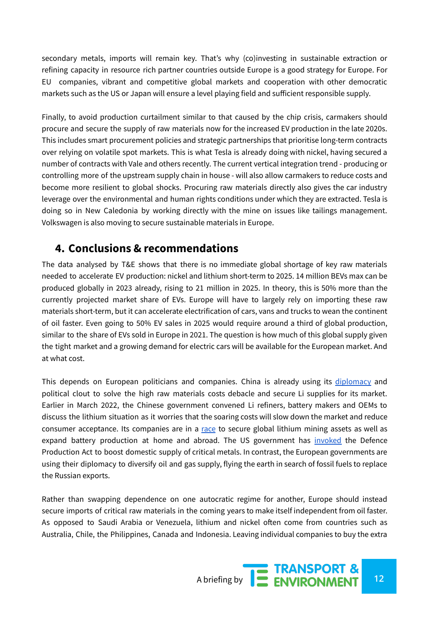secondary metals, imports will remain key. That's why (co)investing in sustainable extraction or refining capacity in resource rich partner countries outside Europe is a good strategy for Europe. For EU companies, vibrant and competitive global markets and cooperation with other democratic markets such as the US or Japan will ensure a level playing field and sufficient responsible supply.

Finally, to avoid production curtailment similar to that caused by the chip crisis, carmakers should procure and secure the supply of raw materials now for the increased EV production in the late 2020s. This includes smart procurement policies and strategic partnerships that prioritise long-term contracts over relying on volatile spot markets. This is what Tesla is already doing with nickel, having secured a number of contracts with Vale and others recently. The current vertical integration trend - producing or controlling more of the upstream supply chain in house - will also allow carmakers to reduce costs and become more resilient to global shocks. Procuring raw materials directly also gives the car industry leverage over the environmental and human rights conditions under which they are extracted. Tesla is doing so in New Caledonia by working directly with the mine on issues like tailings management. Volkswagen is also moving to secure sustainable materials in Europe.

# **4. Conclusions & recommendations**

The data analysed by T&E shows that there is no immediate global shortage of key raw materials needed to accelerate EV production: nickel and lithium short-term to 2025. 14 million BEVs max can be produced globally in 2023 already, rising to 21 million in 2025. In theory, this is 50% more than the currently projected market share of EVs. Europe will have to largely rely on importing these raw materials short-term, but it can accelerate electrification of cars, vans and trucks to wean the continent of oil faster. Even going to 50% EV sales in 2025 would require around a third of global production, similar to the share of EVs sold in Europe in 2021. The question is how much of this global supply given the tight market and a growing demand for electric cars will be available for the European market. And at what cost.

This depends on European politicians and companies. China is already using its [diplomacy](https://www.bloomberg.com/news/articles/2022-03-21/china-tells-ev-battery-chain-it-wants-rational-lithium-prices) and political clout to solve the high raw materials costs debacle and secure Li supplies for its market. Earlier in March 2022, the Chinese government convened Li refiners, battery makers and OEMs to discuss the lithium situation as it worries that the soaring costs will slow down the market and reduce consumer acceptance. Its companies are in a [race](https://qz.com/2087345/chinas-lithium-mining-battery-firms-are-in-an-investment-frenzy/) to secure global lithium mining assets as well as expand battery production at home and abroad. The US government has [invoked](https://www.reuters.com/world/us/biden-could-sign-defense-production-authority-battery-minerals-source-2022-03-30/) the Defence Production Act to boost domestic supply of critical metals. In contrast, the European governments are using their diplomacy to diversify oil and gas supply, flying the earth in search of fossil fuels to replace the Russian exports.

Rather than swapping dependence on one autocratic regime for another, Europe should instead secure imports of critical raw materials in the coming years to make itself independent from oil faster. As opposed to Saudi Arabia or Venezuela, lithium and nickel often come from countries such as Australia, Chile, the Philippines, Canada and Indonesia. Leaving individual companies to buy the extra

A briefing by **12 ENVIRONMENT** 12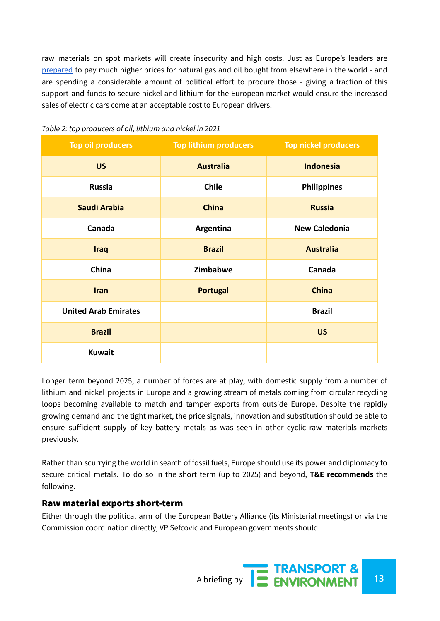raw materials on spot markets will create insecurity and high costs. Just as Europe's leaders are [prepared](https://euobserver.com/green-economy/154593) to pay much higher prices for natural gas and oil bought from elsewhere in the world - and are spending a considerable amount of political effort to procure those - giving a fraction of this support and funds to secure nickel and lithium for the European market would ensure the increased sales of electric cars come at an acceptable cost to European drivers.

| <b>Top oil producers</b>    | <b>Top lithium producers</b> | <b>Top nickel producers</b> |  |
|-----------------------------|------------------------------|-----------------------------|--|
| <b>US</b>                   | <b>Australia</b>             | <b>Indonesia</b>            |  |
| <b>Russia</b>               | <b>Chile</b>                 | <b>Philippines</b>          |  |
| Saudi Arabia                | <b>China</b>                 | <b>Russia</b>               |  |
| Canada                      | Argentina                    | <b>New Caledonia</b>        |  |
| <b>Iraq</b>                 | <b>Brazil</b>                | <b>Australia</b>            |  |
| China                       | Zimbabwe                     | Canada                      |  |
| <b>Iran</b>                 | <b>Portugal</b>              | <b>China</b>                |  |
| <b>United Arab Emirates</b> |                              | <b>Brazil</b>               |  |
| <b>Brazil</b>               |                              | <b>US</b>                   |  |
| <b>Kuwait</b>               |                              |                             |  |

#### *Table 2: top producers of oil, lithium and nickel in 2021*

Longer term beyond 2025, a number of forces are at play, with domestic supply from a number of lithium and nickel projects in Europe and a growing stream of metals coming from circular recycling loops becoming available to match and tamper exports from outside Europe. Despite the rapidly growing demand and the tight market, the price signals, innovation and substitution should be able to ensure sufficient supply of key battery metals as was seen in other cyclic raw materials markets previously.

Rather than scurrying the world in search of fossil fuels, Europe should use its power and diplomacy to secure critical metals. To do so in the short term (up to 2025) and beyond, **T&E recommends** the following.

#### Raw material exports short-term

Either through the political arm of the European Battery Alliance (its Ministerial meetings) or via the Commission coordination directly, VP Sefcovic and European governments should: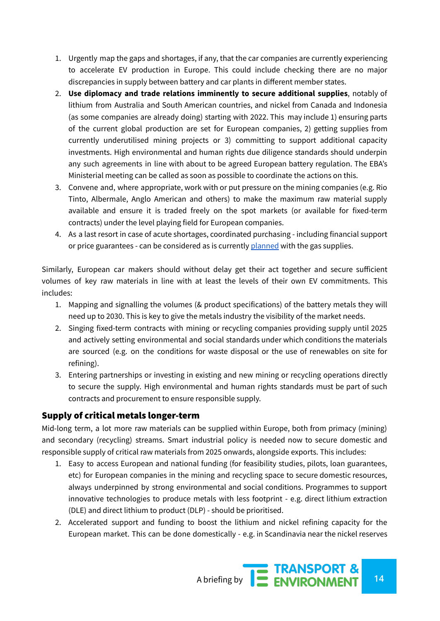- 1. Urgently map the gaps and shortages, if any, that the car companies are currently experiencing to accelerate EV production in Europe. This could include checking there are no major discrepancies in supply between battery and car plants in different member states.
- 2. **Use diplomacy and trade relations imminently to secure additional supplies**, notably of lithium from Australia and South American countries, and nickel from Canada and Indonesia (as some companies are already doing) starting with 2022. This may include 1) ensuring parts of the current global production are set for European companies, 2) getting supplies from currently underutilised mining projects or 3) committing to support additional capacity investments. High environmental and human rights due diligence standards should underpin any such agreements in line with about to be agreed European battery regulation. The EBA's Ministerial meeting can be called as soon as possible to coordinate the actions on this.
- 3. Convene and, where appropriate, work with or put pressure on the mining companies (e.g. Rio Tinto, Albermale, Anglo American and others) to make the maximum raw material supply available and ensure it is traded freely on the spot markets (or available for fixed-term contracts) under the level playing field for European companies.
- 4. As a last resort in case of acute shortages, coordinated purchasing including financial support or price guarantees - can be considered as is currently [planned](https://www.lemonde.fr/idees/article/2022/04/18/guerre-en-ukraine-un-cartel-europeen-d-acheteurs-de-gaz-permettrait-d-obtenir-des-producteurs-un-prix-plus-bas_6122588_3232.html) with the gas supplies.

Similarly, European car makers should without delay get their act together and secure sufficient volumes of key raw materials in line with at least the levels of their own EV commitments. This includes:

- 1. Mapping and signalling the volumes (& product specifications) of the battery metals they will need up to 2030. This is key to give the metals industry the visibility of the market needs.
- 2. Singing fixed-term contracts with mining or recycling companies providing supply until 2025 and actively setting environmental and social standards under which conditions the materials are sourced (e.g. on the conditions for waste disposal or the use of renewables on site for refining).
- 3. Entering partnerships or investing in existing and new mining or recycling operations directly to secure the supply. High environmental and human rights standards must be part of such contracts and procurement to ensure responsible supply.

## Supply of critical metals longer-term

Mid-long term, a lot more raw materials can be supplied within Europe, both from primacy (mining) and secondary (recycling) streams. Smart industrial policy is needed now to secure domestic and responsible supply of critical raw materials from 2025 onwards, alongside exports. This includes:

- 1. Easy to access European and national funding (for feasibility studies, pilots, loan guarantees, etc) for European companies in the mining and recycling space to secure domestic resources, always underpinned by strong environmental and social conditions. Programmes to support innovative technologies to produce metals with less footprint - e.g. direct lithium extraction (DLE) and direct lithium to product (DLP) - should be prioritised.
- 2. Accelerated support and funding to boost the lithium and nickel refining capacity for the European market. This can be done domestically - e.g. in Scandinavia near the nickel reserves

A briefing by **14 ENVIRONMENT** 14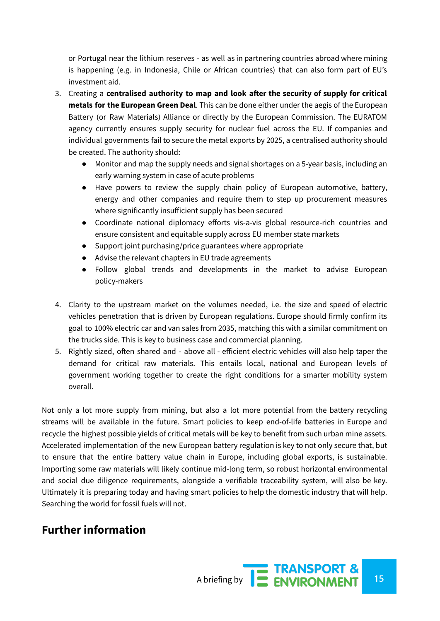or Portugal near the lithium reserves - as well as in partnering countries abroad where mining is happening (e.g. in Indonesia, Chile or African countries) that can also form part of EU's investment aid.

- 3. Creating a **centralised authority to map and look after the security of supply for critical metals for the European Green Deal**. This can be done either under the aegis of the European Battery (or Raw Materials) Alliance or directly by the European Commission. The EURATOM agency currently ensures supply security for nuclear fuel across the EU. If companies and individual governments fail to secure the metal exports by 2025, a centralised authority should be created. The authority should:
	- Monitor and map the supply needs and signal shortages on a 5-year basis, including an early warning system in case of acute problems
	- Have powers to review the supply chain policy of European automotive, battery, energy and other companies and require them to step up procurement measures where significantly insufficient supply has been secured
	- Coordinate national diplomacy efforts vis-a-vis global resource-rich countries and ensure consistent and equitable supply across EU member state markets
	- Support joint purchasing/price guarantees where appropriate
	- Advise the relevant chapters in EU trade agreements
	- Follow global trends and developments in the market to advise European policy-makers
- 4. Clarity to the upstream market on the volumes needed, i.e. the size and speed of electric vehicles penetration that is driven by European regulations. Europe should firmly confirm its goal to 100% electric car and van sales from 2035, matching this with a similar commitment on the trucks side. This is key to business case and commercial planning.
- 5. Rightly sized, often shared and above all efficient electric vehicles will also help taper the demand for critical raw materials. This entails local, national and European levels of government working together to create the right conditions for a smarter mobility system overall.

Not only a lot more supply from mining, but also a lot more potential from the battery recycling streams will be available in the future. Smart policies to keep end-of-life batteries in Europe and recycle the highest possible yields of critical metals will be key to benefit from such urban mine assets. Accelerated implementation of the new European battery regulation is key to not only secure that, but to ensure that the entire battery value chain in Europe, including global exports, is sustainable. Importing some raw materials will likely continue mid-long term, so robust horizontal environmental and social due diligence requirements, alongside a verifiable traceability system, will also be key. Ultimately it is preparing today and having smart policies to help the domestic industry that will help. Searching the world for fossil fuels will not.

# **Further information**

A briefing by **15 ENVIRONMENT**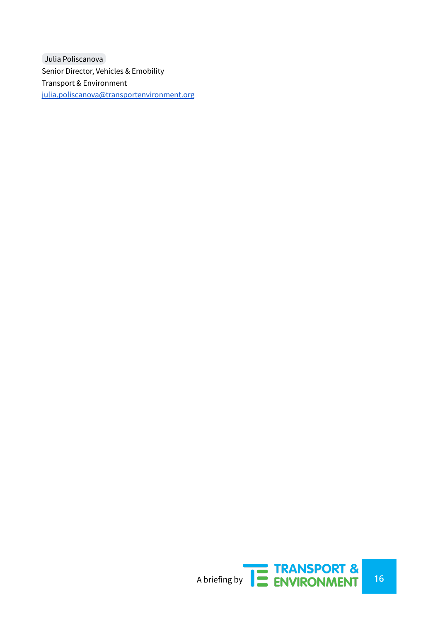Julia [Poliscanova](mailto:julia.poliscanova@transportenvironment.org) Senior Director, Vehicles & Emobility Transport & Environment [julia.poliscanova@transportenvironment.org](mailto:julia.poliscanova@transportenvironment.org)

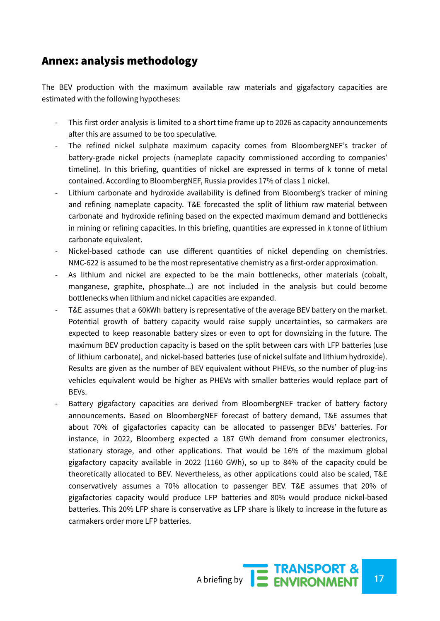## Annex: analysis methodology

The BEV production with the maximum available raw materials and gigafactory capacities are estimated with the following hypotheses:

- This first order analysis is limited to a short time frame up to 2026 as capacity announcements after this are assumed to be too speculative.
- The refined nickel sulphate maximum capacity comes from BloombergNEF's tracker of battery-grade nickel projects (nameplate capacity commissioned according to companies' timeline). In this briefing, quantities of nickel are expressed in terms of k tonne of metal contained. According to BloombergNEF, Russia provides 17% of class 1 nickel.
- Lithium carbonate and hydroxide availability is defined from Bloomberg's tracker of mining and refining nameplate capacity. T&E forecasted the split of lithium raw material between carbonate and hydroxide refining based on the expected maximum demand and bottlenecks in mining or refining capacities. In this briefing, quantities are expressed in k tonne of lithium carbonate equivalent.
- Nickel-based cathode can use different quantities of nickel depending on chemistries. NMC-622 is assumed to be the most representative chemistry as a first-order approximation.
- As lithium and nickel are expected to be the main bottlenecks, other materials (cobalt, manganese, graphite, phosphate...) are not included in the analysis but could become bottlenecks when lithium and nickel capacities are expanded.
- T&E assumes that a 60kWh battery is representative of the average BEV battery on the market. Potential growth of battery capacity would raise supply uncertainties, so carmakers are expected to keep reasonable battery sizes or even to opt for downsizing in the future. The maximum BEV production capacity is based on the split between cars with LFP batteries (use of lithium carbonate), and nickel-based batteries (use of nickel sulfate and lithium hydroxide). Results are given as the number of BEV equivalent without PHEVs, so the number of plug-ins vehicles equivalent would be higher as PHEVs with smaller batteries would replace part of BEVs.
- Battery gigafactory capacities are derived from BloombergNEF tracker of battery factory announcements. Based on BloombergNEF forecast of battery demand, T&E assumes that about 70% of gigafactories capacity can be allocated to passenger BEVs' batteries. For instance, in 2022, Bloomberg expected a 187 GWh demand from consumer electronics, stationary storage, and other applications. That would be 16% of the maximum global gigafactory capacity available in 2022 (1160 GWh), so up to 84% of the capacity could be theoretically allocated to BEV. Nevertheless, as other applications could also be scaled, T&E conservatively assumes a 70% allocation to passenger BEV. T&E assumes that 20% of gigafactories capacity would produce LFP batteries and 80% would produce nickel-based batteries. This 20% LFP share is conservative as LFP share is likely to increase in the future as carmakers order more LFP batteries.